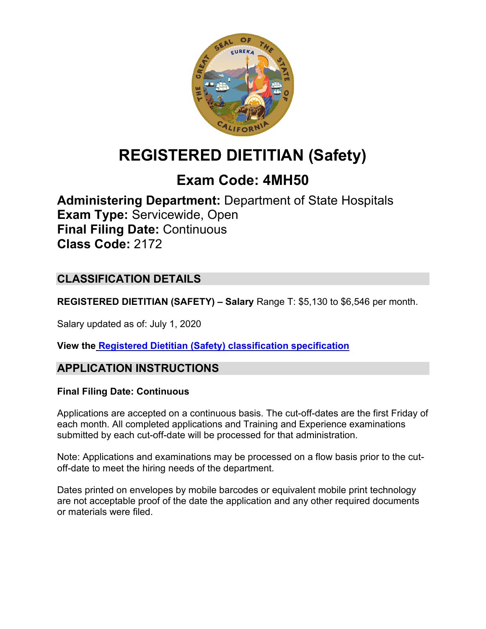

# **REGISTERED DIETITIAN (Safety)**

## **Exam Code: 4MH50**

**Administering Department:** Department of State Hospitals **Exam Type:** Servicewide, Open **Final Filing Date:** Continuous **Class Code:** 2172

## **CLASSIFICATION DETAILS**

**REGISTERED DIETITIAN (SAFETY) – Salary** Range T: \$5,130 to \$6,546 per month.

Salary updated as of: July 1, 2020

**View the [Registered Dietitian \(Safety\)](https://www.calhr.ca.gov/state-hr-professionals/Pages/2172.aspx) classification specification**

## **APPLICATION INSTRUCTIONS**

#### **Final Filing Date: Continuous**

Applications are accepted on a continuous basis. The cut-off-dates are the first Friday of each month. All completed applications and Training and Experience examinations submitted by each cut-off-date will be processed for that administration.

Note: Applications and examinations may be processed on a flow basis prior to the cutoff-date to meet the hiring needs of the department.

Dates printed on envelopes by mobile barcodes or equivalent mobile print technology are not acceptable proof of the date the application and any other required documents or materials were filed.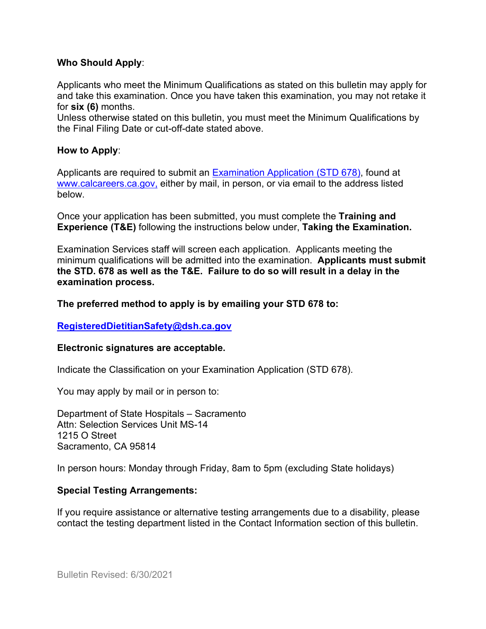#### **Who Should Apply**:

Applicants who meet the Minimum Qualifications as stated on this bulletin may apply for and take this examination. Once you have taken this examination, you may not retake it for **six (6)** months.

Unless otherwise stated on this bulletin, you must meet the Minimum Qualifications by the Final Filing Date or cut-off-date stated above.

#### **How to Apply**:

Applicants are required to submit an [Examination Application \(STD 678\),](https://jobs.ca.gov/pdf/std678.pdf) found at [www.calcareers.ca.gov,](http://www.calcareers.ca.gov/) either by mail, in person, or via email to the address listed below.

Once your application has been submitted, you must complete the **Training and Experience (T&E)** following the instructions below under, **Taking the Examination.**

Examination Services staff will screen each application. Applicants meeting the minimum qualifications will be admitted into the examination. **Applicants must submit the STD. 678 as well as the T&E. Failure to do so will result in a delay in the examination process.**

#### **The preferred method to apply is by emailing your STD 678 to:**

#### **[RegisteredDietitianSafety@dsh.ca.gov](mailto:RegisteredDietitianSafety@dsh.ca.gov)**

#### **Electronic signatures are acceptable.**

Indicate the Classification on your Examination Application (STD 678).

You may apply by mail or in person to:

Department of State Hospitals – Sacramento Attn: Selection Services Unit MS-14 1215 O Street Sacramento, CA 95814

In person hours: Monday through Friday, 8am to 5pm (excluding State holidays)

#### **Special Testing Arrangements:**

If you require assistance or alternative testing arrangements due to a disability, please contact the testing department listed in the Contact Information section of this bulletin.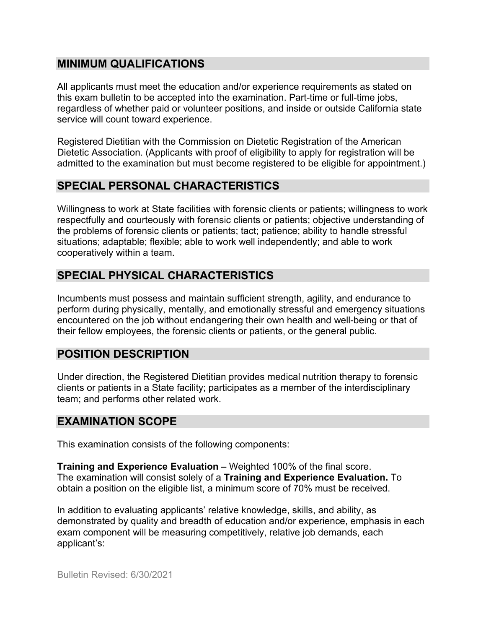#### **MINIMUM QUALIFICATIONS**

All applicants must meet the education and/or experience requirements as stated on this exam bulletin to be accepted into the examination. Part-time or full-time jobs, regardless of whether paid or volunteer positions, and inside or outside California state service will count toward experience.

Registered Dietitian with the Commission on Dietetic Registration of the American Dietetic Association. (Applicants with proof of eligibility to apply for registration will be admitted to the examination but must become registered to be eligible for appointment.)

#### **SPECIAL PERSONAL CHARACTERISTICS**

Willingness to work at State facilities with forensic clients or patients; willingness to work respectfully and courteously with forensic clients or patients; objective understanding of the problems of forensic clients or patients; tact; patience; ability to handle stressful situations; adaptable; flexible; able to work well independently; and able to work cooperatively within a team.

## **SPECIAL PHYSICAL CHARACTERISTICS**

Incumbents must possess and maintain sufficient strength, agility, and endurance to perform during physically, mentally, and emotionally stressful and emergency situations encountered on the job without endangering their own health and well-being or that of their fellow employees, the forensic clients or patients, or the general public.

## **POSITION DESCRIPTION**

Under direction, the Registered Dietitian provides medical nutrition therapy to forensic clients or patients in a State facility; participates as a member of the interdisciplinary team; and performs other related work.

#### **EXAMINATION SCOPE**

This examination consists of the following components:

**Training and Experience Evaluation –** Weighted 100% of the final score. The examination will consist solely of a **Training and Experience Evaluation.** To obtain a position on the eligible list, a minimum score of 70% must be received.

In addition to evaluating applicants' relative knowledge, skills, and ability, as demonstrated by quality and breadth of education and/or experience, emphasis in each exam component will be measuring competitively, relative job demands, each applicant's: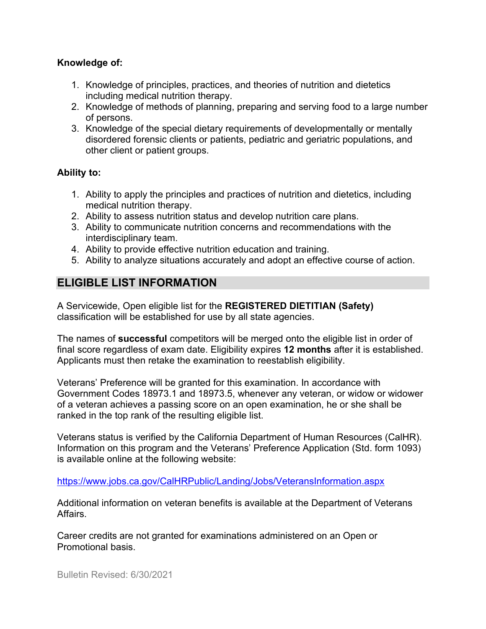#### **Knowledge of:**

- 1. Knowledge of principles, practices, and theories of nutrition and dietetics including medical nutrition therapy.
- 2. Knowledge of methods of planning, preparing and serving food to a large number of persons.
- 3. Knowledge of the special dietary requirements of developmentally or mentally disordered forensic clients or patients, pediatric and geriatric populations, and other client or patient groups.

#### **Ability to:**

- 1. Ability to apply the principles and practices of nutrition and dietetics, including medical nutrition therapy.
- 2. Ability to assess nutrition status and develop nutrition care plans.
- 3. Ability to communicate nutrition concerns and recommendations with the interdisciplinary team.
- 4. Ability to provide effective nutrition education and training.
- 5. Ability to analyze situations accurately and adopt an effective course of action.

## **ELIGIBLE LIST INFORMATION**

A Servicewide, Open eligible list for the **REGISTERED DIETITIAN (Safety)** classification will be established for use by all state agencies.

The names of **successful** competitors will be merged onto the eligible list in order of final score regardless of exam date. Eligibility expires **12 months** after it is established. Applicants must then retake the examination to reestablish eligibility.

Veterans' Preference will be granted for this examination. In accordance with Government Codes 18973.1 and 18973.5, whenever any veteran, or widow or widower of a veteran achieves a passing score on an open examination, he or she shall be ranked in the top rank of the resulting eligible list.

Veterans status is verified by the California Department of Human Resources (CalHR). Information on this program and the Veterans' Preference Application (Std. form 1093) is available online at the following website:

<https://www.jobs.ca.gov/CalHRPublic/Landing/Jobs/VeteransInformation.aspx>

Additional information on veteran benefits is available at the Department of Veterans Affairs.

Career credits are not granted for examinations administered on an Open or Promotional basis.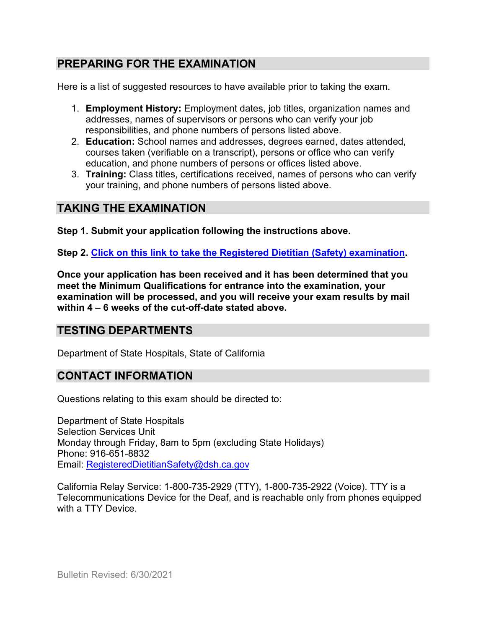## **PREPARING FOR THE EXAMINATION**

Here is a list of suggested resources to have available prior to taking the exam.

- 1. **Employment History:** Employment dates, job titles, organization names and addresses, names of supervisors or persons who can verify your job responsibilities, and phone numbers of persons listed above.
- 2. **Education:** School names and addresses, degrees earned, dates attended, courses taken (verifiable on a transcript), persons or office who can verify education, and phone numbers of persons or offices listed above.
- 3. **Training:** Class titles, certifications received, names of persons who can verify your training, and phone numbers of persons listed above.

## **TAKING THE EXAMINATION**

**Step 1. Submit your application following the instructions above.**

**Step 2. [Click on this link to take the Registered Dietitian \(Safety\)](https://www.surveymonkey.com/r/9Q6W3TP) examination.**

**Once your application has been received and it has been determined that you meet the Minimum Qualifications for entrance into the examination, your examination will be processed, and you will receive your exam results by mail within 4 – 6 weeks of the cut-off-date stated above.**

## **TESTING DEPARTMENTS**

Department of State Hospitals, State of California

#### **CONTACT INFORMATION**

Questions relating to this exam should be directed to:

Department of State Hospitals Selection Services Unit Monday through Friday, 8am to 5pm (excluding State Holidays) Phone: 916-651-8832 Email: [RegisteredDietitianSafety@dsh.ca.gov](mailto:RegisteredDietitianSafety@dsh.ca.gov)

California Relay Service: 1-800-735-2929 (TTY), 1-800-735-2922 (Voice). TTY is a Telecommunications Device for the Deaf, and is reachable only from phones equipped with a TTY Device.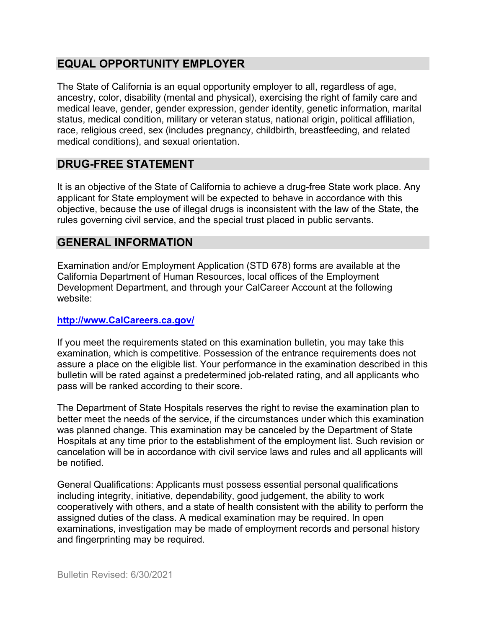## **EQUAL OPPORTUNITY EMPLOYER**

The State of California is an equal opportunity employer to all, regardless of age, ancestry, color, disability (mental and physical), exercising the right of family care and medical leave, gender, gender expression, gender identity, genetic information, marital status, medical condition, military or veteran status, national origin, political affiliation, race, religious creed, sex (includes pregnancy, childbirth, breastfeeding, and related medical conditions), and sexual orientation.

## **DRUG-FREE STATEMENT**

It is an objective of the State of California to achieve a drug-free State work place. Any applicant for State employment will be expected to behave in accordance with this objective, because the use of illegal drugs is inconsistent with the law of the State, the rules governing civil service, and the special trust placed in public servants.

## **GENERAL INFORMATION**

Examination and/or Employment Application (STD 678) forms are available at the California Department of Human Resources, local offices of the Employment Development Department, and through your CalCareer Account at the following website:

#### **[http://www.CalCareers.ca.gov/](http://www.calcareers.ca.gov/)**

If you meet the requirements stated on this examination bulletin, you may take this examination, which is competitive. Possession of the entrance requirements does not assure a place on the eligible list. Your performance in the examination described in this bulletin will be rated against a predetermined job-related rating, and all applicants who pass will be ranked according to their score.

The Department of State Hospitals reserves the right to revise the examination plan to better meet the needs of the service, if the circumstances under which this examination was planned change. This examination may be canceled by the Department of State Hospitals at any time prior to the establishment of the employment list. Such revision or cancelation will be in accordance with civil service laws and rules and all applicants will be notified.

General Qualifications: Applicants must possess essential personal qualifications including integrity, initiative, dependability, good judgement, the ability to work cooperatively with others, and a state of health consistent with the ability to perform the assigned duties of the class. A medical examination may be required. In open examinations, investigation may be made of employment records and personal history and fingerprinting may be required.